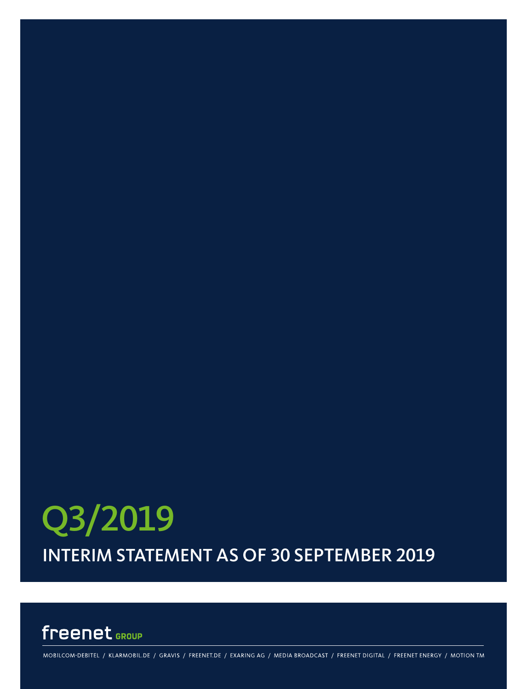# INTERIM STATEMENT AS OF 30 SEPTEMBER 2019 Q3/2019

# freenet GROUP

MOBILCOM-DEBITEL / KLARMOBIL.DE / GRAVIS / FREENET.DE / EXARING AG / MEDIA BROADCAST / FREENET DIGITAL / FREENET ENERGY / MOTION TM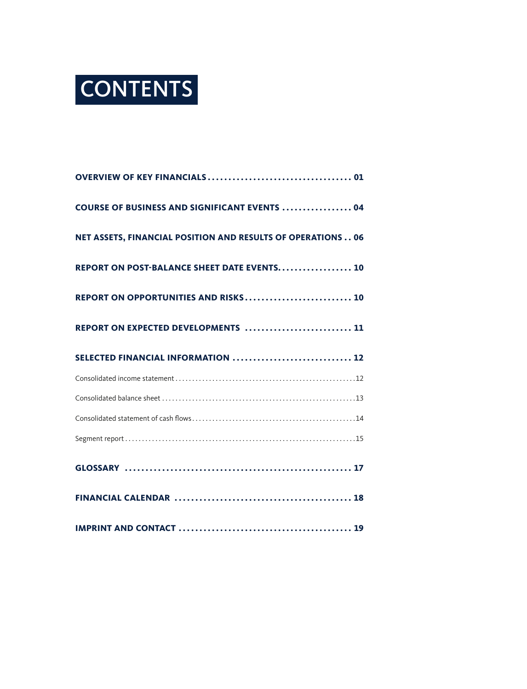

| <b>COURSE OF BUSINESS AND SIGNIFICANT EVENTS  04</b>        |  |
|-------------------------------------------------------------|--|
| NET ASSETS, FINANCIAL POSITION AND RESULTS OF OPERATIONS 06 |  |
| REPORT ON POST-BALANCE SHEET DATE EVENTS 10                 |  |
| REPORT ON OPPORTUNITIES AND RISKS 10                        |  |
| REPORT ON EXPECTED DEVELOPMENTS  11                         |  |
| SELECTED FINANCIAL INFORMATION  12                          |  |
|                                                             |  |
|                                                             |  |
|                                                             |  |
|                                                             |  |
|                                                             |  |
|                                                             |  |
|                                                             |  |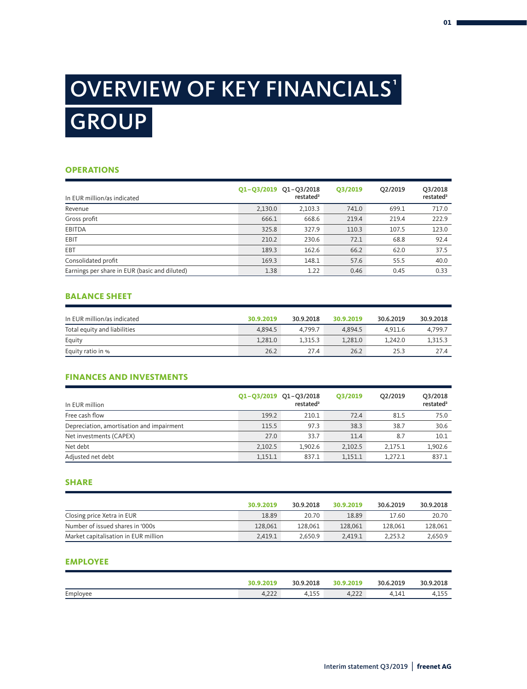# OVERVIEW OF KEY FINANCIALS GROUP ¹

## **OPERATIONS**

| In EUR million/as indicated                   | Q1-Q3/2019 Q1-Q3/2018 | restated <sup>2</sup> | Q3/2019 | O2/2019 | Q3/2018<br>restated <sup>2</sup> |
|-----------------------------------------------|-----------------------|-----------------------|---------|---------|----------------------------------|
| Revenue                                       | 2,130.0               | 2,103.3               | 741.0   | 699.1   | 717.0                            |
| Gross profit                                  | 666.1                 | 668.6                 | 219.4   | 219.4   | 222.9                            |
| <b>EBITDA</b>                                 | 325.8                 | 327.9                 | 110.3   | 107.5   | 123.0                            |
| EBIT                                          | 210.2                 | 230.6                 | 72.1    | 68.8    | 92.4                             |
| <b>EBT</b>                                    | 189.3                 | 162.6                 | 66.2    | 62.0    | 37.5                             |
| Consolidated profit                           | 169.3                 | 148.1                 | 57.6    | 55.5    | 40.0                             |
| Earnings per share in EUR (basic and diluted) | 1.38                  | 1.22                  | 0.46    | 0.45    | 0.33                             |

### **BALANCE SHEET**

| In EUR million/as indicated  | 30.9.2019 | 30.9.2018 | 30.9.2019 | 30.6.2019 | 30.9.2018 |
|------------------------------|-----------|-----------|-----------|-----------|-----------|
| Total equity and liabilities | 4.894.5   | 4.799.7   | 4.894.5   | 4.911.6   | 4.799.7   |
| Equity                       | 1.281.0   | 1.315.3   | 1.281.0   | 1.242.0   | 1.315.3   |
| Equity ratio in %            | 26.2      | 27.4      | 26.2      | 25.3      | 27.4      |

# **FINANCES AND INVESTMENTS**

| In EUR million                            | Q1-Q3/2019 Q1-Q3/2018 | restated <sup>2</sup> | Q3/2019 | O2/2019 | Q3/2018<br>restated <sup>2</sup> |
|-------------------------------------------|-----------------------|-----------------------|---------|---------|----------------------------------|
| Free cash flow                            | 199.2                 | 210.1                 | 72.4    | 81.5    | 75.0                             |
| Depreciation, amortisation and impairment | 115.5                 | 97.3                  | 38.3    | 38.7    | 30.6                             |
| Net investments (CAPEX)                   | 27.0                  | 33.7                  | 11.4    | 8.7     | 10.1                             |
| Net debt                                  | 2.102.5               | 1.902.6               | 2,102.5 | 2.175.1 | 1,902.6                          |
| Adjusted net debt                         | 1,151.1               | 837.1                 | 1,151.1 | 1.272.1 | 837.1                            |

### **SHARE**

|                                      | 30.9.2019 | 30.9.2018 | 30.9.2019 | 30.6.2019 | 30.9.2018 |
|--------------------------------------|-----------|-----------|-----------|-----------|-----------|
| Closing price Xetra in EUR           | 18.89     | 20.70     | 18.89     | 17.60     | 20.70     |
| Number of issued shares in '000s     | 128,061   | 128.061   | 128,061   | 128.061   | 128,061   |
| Market capitalisation in EUR million | 2.419.1   | 2.650.9   | 2.419.1   | 2.253.2   | 2,650.9   |

### **EMPLOYEE**

|          | 30.9.2019    | 30.9.2018 | 30.9.2019 | 30.6.2019 | 30.9.2018 |
|----------|--------------|-----------|-----------|-----------|-----------|
| Employee | ำาา<br>4,222 | 4.155     | 4,222     | 4,141     | 4.155     |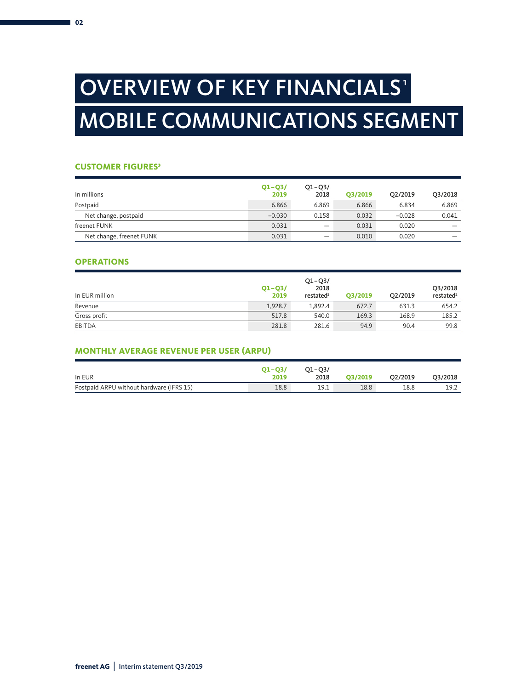# OVERVIEW OF KEY FINANCIALS' MOBILE COMMUNICATIONS SEGMENT

# **CUSTOMER FIGURES<sup>3</sup>**

| In millions              | $Q1 - Q3/$<br>2019 | $Q1 - Q3/$<br>2018 | O3/2019 | O <sub>2</sub> /2019 | Q3/2018 |
|--------------------------|--------------------|--------------------|---------|----------------------|---------|
| Postpaid                 | 6.866              | 6.869              | 6.866   | 6.834                | 6.869   |
| Net change, postpaid     | $-0.030$           | 0.158              | 0.032   | $-0.028$             | 0.041   |
| freenet FUNK             | 0.031              |                    | 0.031   | 0.020                |         |
| Net change, freenet FUNK | 0.031              |                    | 0.010   | 0.020                |         |

### **OPERATIONS**

| In EUR million | $Q1 - Q3/$<br>2019 | $Q1 - Q3/$<br>2018<br>restated <sup>2</sup> | O3/2019 | Q2/2019 | Q3/2018<br>restated <sup>2</sup> |
|----------------|--------------------|---------------------------------------------|---------|---------|----------------------------------|
| Revenue        | 1,928.7            | 1.892.4                                     | 672.7   | 631.3   | 654.2                            |
| Gross profit   | 517.8              | 540.0                                       | 169.3   | 168.9   | 185.2                            |
| EBITDA         | 281.8              | 281.6                                       | 94.9    | 90.4    | 99.8                             |

# **MONTHLY AVERAGE REVENUE PER USER (ARPU)**

| In EUR                                   | $O1 - O3/$<br>2019 | $O1 - O3/$<br>2018 | O3/2019 | O2/2019 | Q3/2018 |
|------------------------------------------|--------------------|--------------------|---------|---------|---------|
| Postpaid ARPU without hardware (IFRS 15) | 18.8               | 19.1               | 18.8    | 18.8    | 19.2    |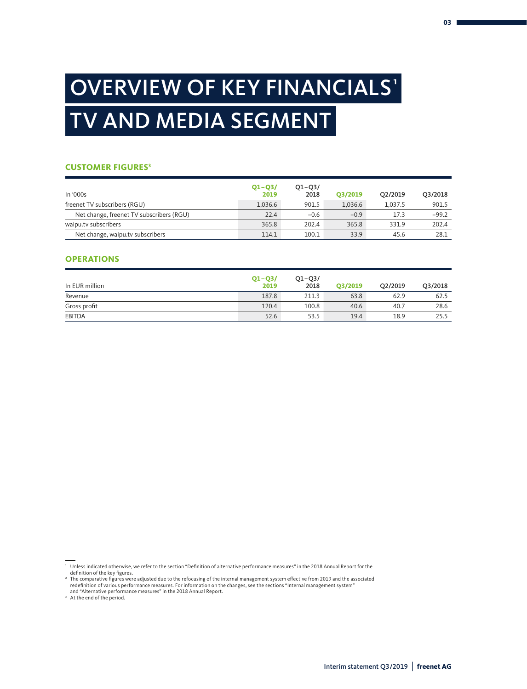# OVERVIEW OF KEY FINANCIALS' TV AND MEDIA SEGMENT

### **CUSTOMER FIGURES3**

| In '000s                                 | $Q1 - Q3/$<br>2019 | $Q1 - Q3/$<br>2018 | O3/2019 | O2/2019 | Q3/2018 |
|------------------------------------------|--------------------|--------------------|---------|---------|---------|
| freenet TV subscribers (RGU)             | 1,036.6            | 901.5              | 1,036.6 | 1.037.5 | 901.5   |
| Net change, freenet TV subscribers (RGU) | 22.4               | $-0.6$             | $-0.9$  | 17.3    | $-99.2$ |
| waipu.tv subscribers                     | 365.8              | 202.4              | 365.8   | 331.9   | 202.4   |
| Net change, waipu.tv subscribers         | 114.1              | 100.1              | 33.9    | 45.6    | 28.1    |

### **OPERATIONS**

| In EUR million | $Q1 - Q3/$<br>2019 | $Q1 - Q3/$<br>2018 | O3/2019 | O2/2019 | Q3/2018 |
|----------------|--------------------|--------------------|---------|---------|---------|
| Revenue        | 187.8              | 211.3              | 63.8    | 62.9    | 62.5    |
| Gross profit   | 120.4              | 100.8              | 40.6    | 40.7    | 28.6    |
| <b>EBITDA</b>  | 52.6               | 53.5               | 19.4    | 18.9    | 25.5    |

<sup>&#</sup>x27; Unless indicated otherwise, we refer to the section "Definition of alternative performance measures" in the 2018 Annual Report for the<br>definition of the key figures.

<sup>2</sup> The comparative figures were adjusted due to the refocusing of the internal management system effective from 2019 and the associated redefinition of various performance measures. For information on the changes, see the sections "Internal management system" and "Alternative performance measures" in the 2018 Annual Report.

<sup>&</sup>lt;sup>3</sup> At the end of the period.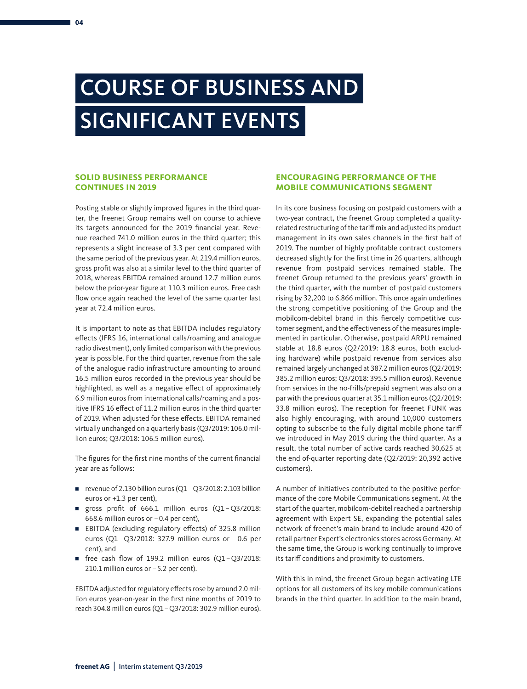# COURSE OF BUSINESS AND SIGNIFICANT EVENTS

### **SOLID BUSINESS PERFORMANCE CONTINUES IN 2019**

Posting stable or slightly improved figures in the third quarter, the freenet Group remains well on course to achieve its targets announced for the 2019 financial year. Revenue reached 741.0 million euros in the third quarter; this represents a slight increase of 3.3 per cent compared with the same period of the previous year. At 219.4 million euros, gross profit was also at a similar level to the third quarter of 2018, whereas EBITDA remained around 12.7 million euros below the prior-year figure at 110.3 million euros. Free cash flow once again reached the level of the same quarter last year at 72.4 million euros.

It is important to note as that EBITDA includes regulatory effects (IFRS 16, international calls/roaming and analogue radio divestment), only limited comparison with the previous year is possible. For the third quarter, revenue from the sale of the analogue radio infrastructure amounting to around 16.5 million euros recorded in the previous year should be highlighted, as well as a negative effect of approximately 6.9 million euros from international calls/roaming and a positive IFRS 16 effect of 11.2 million euros in the third quarter of 2019. When adjusted for these effects, EBITDA remained virtually unchanged on a quarterly basis (Q3/2019: 106.0 million euros; Q3/2018: 106.5 million euros).

The figures for the first nine months of the current financial year are as follows:

- revenue of 2.130 billion euros (Q1 Q3/2018: 2.103 billion euros or +1.3 per cent),
- gross profit of 666.1 million euros (Q1-Q3/2018: 668.6 million euros or –0.4 per cent),
- EBITDA (excluding regulatory effects) of 325.8 million euros (Q1–Q3/2018: 327.9 million euros or –0.6 per cent), and
- free cash flow of 199.2 million euros (Q1-Q3/2018: 210.1 million euros or –5.2 per cent).

EBITDA adjusted for regulatory effects rose by around 2.0 million euros year-on-year in the first nine months of 2019 to reach 304.8 million euros (Q1–Q3/2018: 302.9 million euros).

# **ENCOURAGING PERFORMANCE OF THE MOBILE COMMUNICATIONS SEGMENT**

In its core business focusing on postpaid customers with a two-year contract, the freenet Group completed a qualityrelated restructuring of the tariff mix and adjusted its product management in its own sales channels in the first half of 2019. The number of highly profitable contract customers decreased slightly for the first time in 26 quarters, although revenue from postpaid services remained stable. The freenet Group returned to the previous years' growth in the third quarter, with the number of postpaid customers rising by 32,200 to 6.866 million. This once again underlines the strong competitive positioning of the Group and the mobilcom-debitel brand in this fiercely competitive customer segment, and the effectiveness of the measures implemented in particular. Otherwise, postpaid ARPU remained stable at 18.8 euros (Q2/2019: 18.8 euros, both excluding hardware) while postpaid revenue from services also remained largely unchanged at 387.2 million euros (Q2/2019: 385.2 million euros; Q3/2018: 395.5 million euros). Revenue from services in the no-frills/prepaid segment was also on a par with the previous quarter at 35.1 million euros (Q2/2019: 33.8 million euros). The reception for freenet FUNK was also highly encouraging, with around 10,000 customers opting to subscribe to the fully digital mobile phone tariff we introduced in May 2019 during the third quarter. As a result, the total number of active cards reached 30,625 at the end of-quarter reporting date (Q2/2019: 20,392 active customers).

A number of initiatives contributed to the positive performance of the core Mobile Communications segment. At the start of the quarter, mobilcom-debitel reached a partnership agreement with Expert SE, expanding the potential sales network of freenet's main brand to include around 420 of retail partner Expert's electronics stores across Germany. At the same time, the Group is working continually to improve its tariff conditions and proximity to customers.

With this in mind, the freenet Group began activating LTE options for all customers of its key mobile communications brands in the third quarter. In addition to the main brand,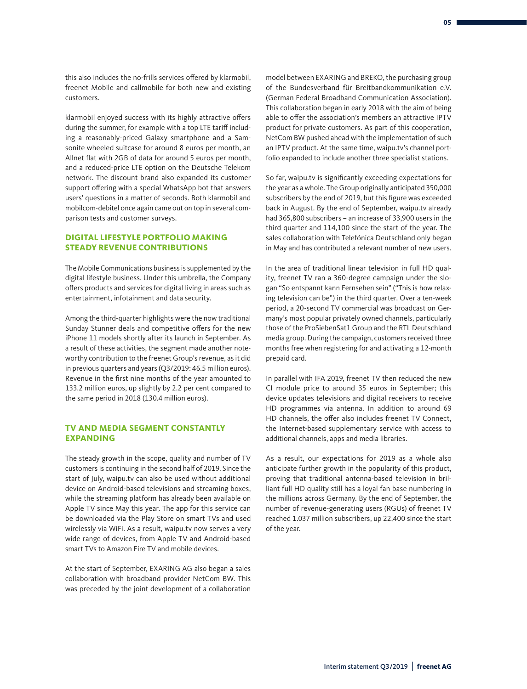klarmobil enjoyed success with its highly attractive offers during the summer, for example with a top LTE tariff including a reasonably-priced Galaxy smartphone and a Samsonite wheeled suitcase for around 8 euros per month, an Allnet flat with 2GB of data for around 5 euros per month, and a reduced-price LTE option on the Deutsche Telekom network. The discount brand also expanded its customer support offering with a special WhatsApp bot that answers users' questions in a matter of seconds. Both klarmobil and mobilcom-debitel once again came out on top in several comparison tests and customer surveys.

## **DIGITAL LIFESTYLE PORTFOLIO MAKING STEADY REVENUE CONTRIBUTIONS**

The Mobile Communications business is supplemented by the digital lifestyle business. Under this umbrella, the Company offers products and services for digital living in areas such as entertainment, infotainment and data security.

Among the third-quarter highlights were the now traditional Sunday Stunner deals and competitive offers for the new iPhone 11 models shortly after its launch in September. As a result of these activities, the segment made another noteworthy contribution to the freenet Group's revenue, as it did in previous quarters and years (Q3/2019: 46.5 million euros). Revenue in the first nine months of the year amounted to 133.2 million euros, up slightly by 2.2 per cent compared to the same period in 2018 (130.4 million euros).

# **TV AND MEDIA SEGMENT CONSTANTLY EXPANDING**

The steady growth in the scope, quality and number of TV customers is continuing in the second half of 2019. Since the start of July, waipu.tv can also be used without additional device on Android-based televisions and streaming boxes, while the streaming platform has already been available on Apple TV since May this year. The app for this service can be downloaded via the Play Store on smart TVs and used wirelessly via WiFi. As a result, waipu.tv now serves a very wide range of devices, from Apple TV and Android-based smart TVs to Amazon Fire TV and mobile devices.

At the start of September, EXARING AG also began a sales collaboration with broadband provider NetCom BW. This was preceded by the joint development of a collaboration

model between EXARING and BREKO, the purchasing group of the Bundesverband für Breitbandkommunikation e.V. (German Federal Broadband Communication Association). This collaboration began in early 2018 with the aim of being able to offer the association's members an attractive IPTV product for private customers. As part of this cooperation, NetCom BW pushed ahead with the implementation of such an IPTV product. At the same time, waipu.tv's channel portfolio expanded to include another three specialist stations.

So far, waipu.tv is significantly exceeding expectations for the year as a whole. The Group originally anticipated 350,000 subscribers by the end of 2019, but this figure was exceeded back in August. By the end of September, waipu.tv already had 365,800 subscribers – an increase of 33,900 users in the third quarter and 114,100 since the start of the year. The sales collaboration with Telefónica Deutschland only began in May and has contributed a relevant number of new users.

In the area of traditional linear television in full HD quality, freenet TV ran a 360-degree campaign under the slogan "So entspannt kann Fernsehen sein" ("This is how relaxing television can be") in the third quarter. Over a ten-week period, a 20-second TV commercial was broadcast on Germany's most popular privately owned channels, particularly those of the ProSiebenSat1 Group and the RTL Deutschland media group. During the campaign, customers received three months free when registering for and activating a 12-month prepaid card.

In parallel with IFA 2019, freenet TV then reduced the new CI module price to around 35 euros in September; this device updates televisions and digital receivers to receive HD programmes via antenna. In addition to around 69 HD channels, the offer also includes freenet TV Connect, the Internet-based supplementary service with access to additional channels, apps and media libraries.

As a result, our expectations for 2019 as a whole also anticipate further growth in the popularity of this product, proving that traditional antenna-based television in brilliant full HD quality still has a loyal fan base numbering in the millions across Germany. By the end of September, the number of revenue-generating users (RGUs) of freenet TV reached 1.037 million subscribers, up 22,400 since the start of the year.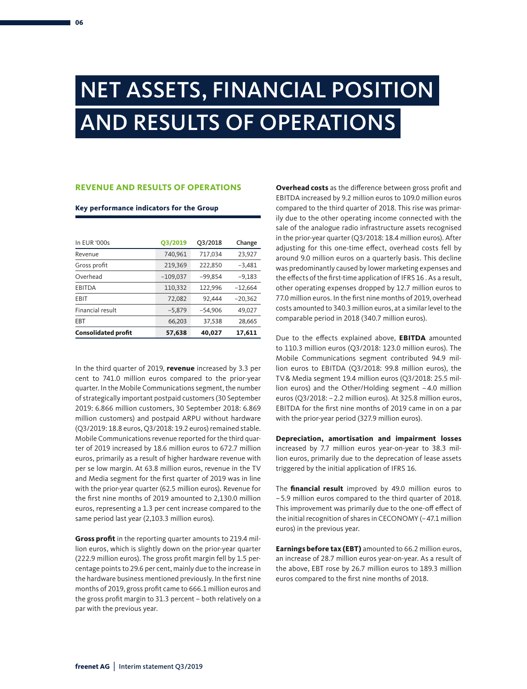# NET ASSETS, FINANCIAL POSITION AND RESULTS OF OPERATIONS

# **REVENUE AND RESULTS OF OPERATIONS**

#### **Key performance indicators for the Group**

| In EUR '000s               | O3/2019    | Q3/2018   | Change    |
|----------------------------|------------|-----------|-----------|
| Revenue                    | 740,961    | 717,034   | 23,927    |
| Gross profit               | 219,369    | 222,850   | -3,481    |
| Overhead                   | $-109,037$ | $-99.854$ | $-9,183$  |
| EBITDA                     | 110,332    | 122,996   | $-12.664$ |
| EBIT                       | 72,082     | 92.444    | $-20,362$ |
| Financial result           | $-5.879$   | $-54.906$ | 49,027    |
| <b>EBT</b>                 | 66,203     | 37,538    | 28,665    |
| <b>Consolidated profit</b> | 57,638     | 40,027    | 17,611    |

In the third quarter of 2019, **revenue** increased by 3.3 per cent to 741.0 million euros compared to the prior-year quarter. In the Mobile Communications segment, the number of strategically important postpaid customers (30 September 2019: 6.866 million customers, 30 September 2018: 6.869 million customers) and postpaid ARPU without hardware (Q3/2019: 18.8 euros, Q3/2018: 19.2 euros) remained stable. Mobile Communications revenue reported for the third quarter of 2019 increased by 18.6 million euros to 672.7 million euros, primarily as a result of higher hardware revenue with per se low margin. At 63.8 million euros, revenue in the TV and Media segment for the first quarter of 2019 was in line with the prior-year quarter (62.5 million euros). Revenue for the first nine months of 2019 amounted to 2,130.0 million euros, representing a 1.3 per cent increase compared to the same period last year (2,103.3 million euros).

**Gross profit** in the reporting quarter amounts to 219.4 million euros, which is slightly down on the prior-year quarter (222.9 million euros). The gross profit margin fell by 1.5 percentage points to 29.6 per cent, mainly due to the increase in the hardware business mentioned previously. In the first nine months of 2019, gross profit came to 666.1 million euros and the gross profit margin to 31.3 percent – both relatively on a par with the previous year.

**Overhead costs** as the difference between gross profit and EBITDA increased by 9.2 million euros to 109.0 million euros compared to the third quarter of 2018. This rise was primarily due to the other operating income connected with the sale of the analogue radio infrastructure assets recognised in the prior-year quarter (Q3/2018: 18.4 million euros). After adjusting for this one-time effect, overhead costs fell by around 9.0 million euros on a quarterly basis. This decline was predominantly caused by lower marketing expenses and the effects of the first-time application of IFRS 16 . As a result, other operating expenses dropped by 12.7 million euros to 77.0 million euros. In the first nine months of 2019, overhead costs amounted to 340.3 million euros, at a similar level to the comparable period in 2018 (340.7 million euros).

Due to the effects explained above, **EBITDA** amounted to 110.3 million euros (Q3/2018: 123.0 million euros). The Mobile Communications segment contributed 94.9 million euros to EBITDA (Q3/2018: 99.8 million euros), the TV& Media segment 19.4 million euros (Q3/2018: 25.5 million euros) and the Other/Holding segment –4.0 million euros (Q3/2018: –2.2 million euros). At 325.8 million euros, EBITDA for the first nine months of 2019 came in on a par with the prior-year period (327.9 million euros).

**Depreciation, amortisation and impairment losses**  increased by 7.7 million euros year-on-year to 38.3 million euros, primarily due to the deprecation of lease assets triggered by the initial application of IFRS 16.

The **financial result** improved by 49.0 million euros to –5.9 million euros compared to the third quarter of 2018. This improvement was primarily due to the one-off effect of the initial recognition of shares in CECONOMY (–47.1 million euros) in the previous year.

**Earnings before tax (EBT)** amounted to 66.2 million euros, an increase of 28.7 million euros year-on-year. As a result of the above, EBT rose by 26.7 million euros to 189.3 million euros compared to the first nine months of 2018.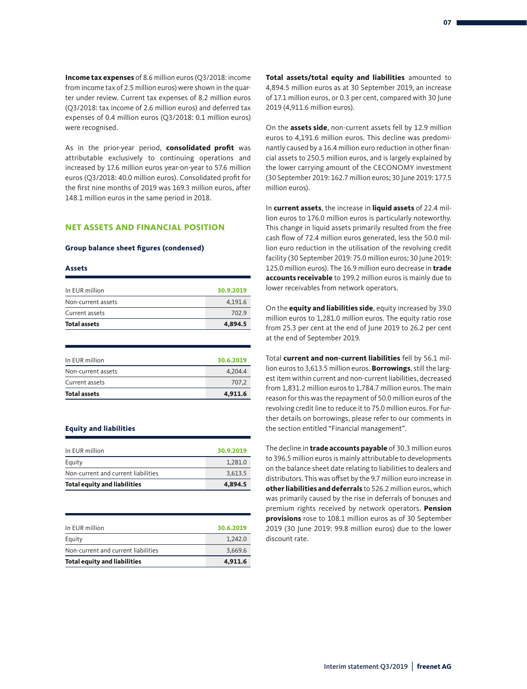**Income tax expenses** of 8.6 million euros (Q3/2018: income from income tax of 2.5 million euros) were shown in the quarter under review. Current tax expenses of 8.2 million euros (Q3/2018: tax income of 2.6 million euros) and deferred tax expenses of 0.4 million euros (Q3/2018: 0.1 million euros) were recognised.

As in the prior-year period, **consolidated profit** was attributable exclusively to continuing operations and increased by 17.6 million euros year-on-year to 57.6 million euros (Q3/2018: 40.0 million euros). Consolidated profit for the first nine months of 2019 was 169.3 million euros, after 148.1 million euros in the same period in 2018.

#### **NET ASSETS AND FINANCIAL POSITION**

#### **Group balance sheet figures (condensed)**

#### **Assets**

| 4,894.5   |
|-----------|
| 702.9     |
| 4,191.6   |
| 30.9.2019 |
|           |

| 707.2     |
|-----------|
| 4.204.4   |
| 30.6.2019 |
|           |

#### **Equity and liabilities**

| 3.613.5   |
|-----------|
| 1.281.0   |
| 30.9.2019 |
|           |

| 3.669.6   |
|-----------|
|           |
| 1.242.0   |
| 30.6.2019 |
|           |

**Total assets/total equity and liabilities** amounted to 4,894.5 million euros as at 30 September 2019, an increase of 17.1 million euros, or 0.3 per cent, compared with 30 June 2019 (4,911.6 million euros).

On the **assets side**, non-current assets fell by 12.9 million euros to 4,191.6 million euros. This decline was predominantly caused by a 16.4 million euro reduction in other financial assets to 250.5 million euros, and is largely explained by the lower carrying amount of the CECONOMY investment (30 September 2019: 162.7 million euros; 30 June 2019: 177.5 million euros).

In **current assets**, the increase in **liquid assets** of 22.4 million euros to 176.0 million euros is particularly noteworthy. This change in liquid assets primarily resulted from the free cash flow of 72.4 million euros generated, less the 50.0 million euro reduction in the utilisation of the revolving credit facility (30 September 2019: 75.0 million euros; 30 June 2019: 125.0 million euros). The 16.9 million euro decrease in **trade accounts receivable** to 199.2 million euros is mainly due to lower receivables from network operators.

On the **equity and liabilities side**, equity increased by 39.0 million euros to 1,281.0 million euros. The equity ratio rose from 25.3 per cent at the end of June 2019 to 26.2 per cent at the end of September 2019.

Total **current and non-current liabilities** fell by 56.1 million euros to 3,613.5 million euros. **Borrowings**, still the largest item within current and non-current liabilities, decreased from 1,831.2 million euros to 1,784.7 million euros. The main reason for this was the repayment of 50.0 million euros of the revolving credit line to reduce it to 75.0 million euros. For further details on borrowings, please refer to our comments in the section entitled "Financial management".

The decline in **trade accounts payable** of 30.3 million euros to 396.5 million euros is mainly attributable to developments on the balance sheet date relating to liabilities to dealers and distributors. This was offset by the 9.7 million euro increase in **other liabilities and deferrals** to 526.2 million euros, which was primarily caused by the rise in deferrals of bonuses and premium rights received by network operators. **Pension provisions** rose to 108.1 million euros as of 30 September 2019 (30 June 2019: 99.8 million euros) due to the lower discount rate.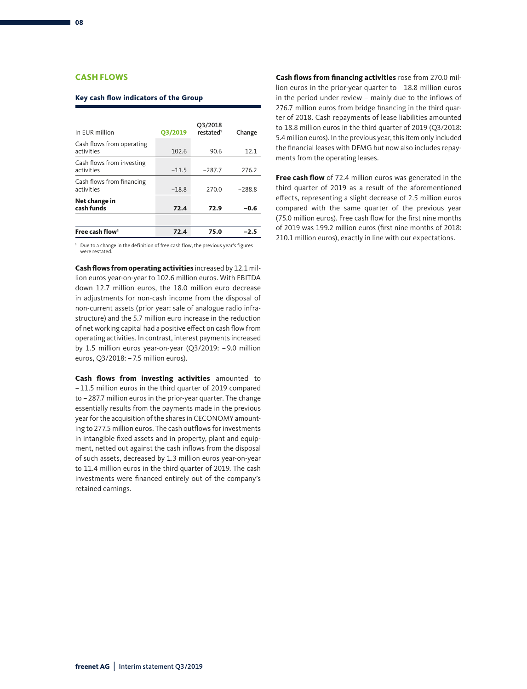## **CASH FLOWS**

#### **Key cash flow indicators of the Group**

| In EUR million                          | O3/2019 | Q3/2018<br>restated <sup>1</sup> | Change   |
|-----------------------------------------|---------|----------------------------------|----------|
| Cash flows from operating<br>activities | 102.6   | 90.6                             | 12.1     |
| Cash flows from investing<br>activities | $-11.5$ | $-287.7$                         | 276.2    |
| Cash flows from financing<br>activities | $-18.8$ | 270.0                            | $-288.8$ |
| Net change in<br>cash funds             | 72.4    | 72.9                             | $-0.6$   |
|                                         |         |                                  |          |
| Free cash flow <sup>1</sup>             | 72.4    | 75.0                             | -2.5     |

<sup>1</sup> Due to a change in the definition of free cash flow, the previous year's figures were restated

**Cash flows from operating activities** increased by 12.1 million euros year-on-year to 102.6 million euros. With EBITDA down 12.7 million euros, the 18.0 million euro decrease in adjustments for non-cash income from the disposal of non-current assets (prior year: sale of analogue radio infrastructure) and the 5.7 million euro increase in the reduction of net working capital had a positive effect on cash flow from operating activities. In contrast, interest payments increased by 1.5 million euros year-on-year (Q3/2019: –9.0 million euros, Q3/2018: –7.5 million euros).

**Cash flows from investing activities** amounted to –11.5 million euros in the third quarter of 2019 compared to –287.7 million euros in the prior-year quarter. The change essentially results from the payments made in the previous year for the acquisition of the shares in CECONOMY amounting to 277.5 million euros. The cash outflows for investments in intangible fixed assets and in property, plant and equipment, netted out against the cash inflows from the disposal of such assets, decreased by 1.3 million euros year-on-year to 11.4 million euros in the third quarter of 2019. The cash investments were financed entirely out of the company's retained earnings.

**Cash flows from financing activities** rose from 270.0 million euros in the prior-year quarter to –18.8 million euros in the period under review – mainly due to the inflows of 276.7 million euros from bridge financing in the third quarter of 2018. Cash repayments of lease liabilities amounted to 18.8 million euros in the third quarter of 2019 (Q3/2018: 5.4 million euros). In the previous year, this item only included the financial leases with DFMG but now also includes repayments from the operating leases.

**Free cash flow** of 72.4 million euros was generated in the third quarter of 2019 as a result of the aforementioned effects, representing a slight decrease of 2.5 million euros compared with the same quarter of the previous year (75.0 million euros). Free cash flow for the first nine months of 2019 was 199.2 million euros (first nine months of 2018: 210.1 million euros), exactly in line with our expectations.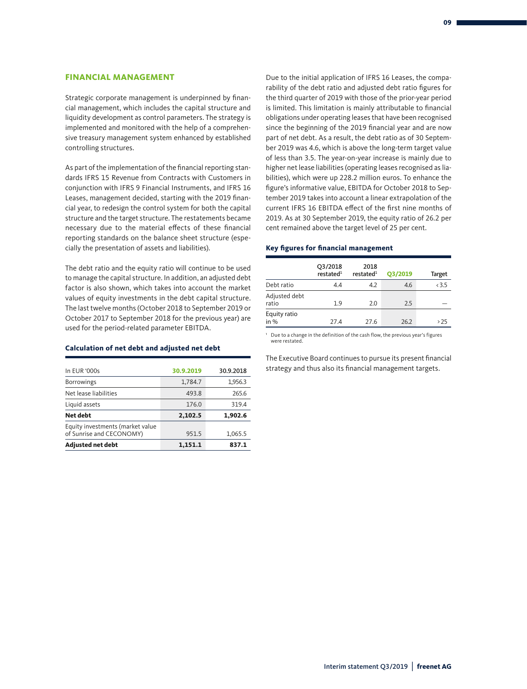### **FINANCIAL MANAGEMENT**

Strategic corporate management is underpinned by financial management, which includes the capital structure and liquidity development as control parameters. The strategy is implemented and monitored with the help of a comprehensive treasury management system enhanced by established controlling structures.

As part of the implementation of the financial reporting standards IFRS 15 Revenue from Contracts with Customers in conjunction with IFRS 9 Financial Instruments, and IFRS 16 Leases, management decided, starting with the 2019 financial year, to redesign the control system for both the capital structure and the target structure. The restatements became necessary due to the material effects of these financial reporting standards on the balance sheet structure (especially the presentation of assets and liabilities).

The debt ratio and the equity ratio will continue to be used to manage the capital structure. In addition, an adjusted debt factor is also shown, which takes into account the market values of equity investments in the debt capital structure. The last twelve months (October 2018 to September 2019 or October 2017 to September 2018 for the previous year) are used for the period-related parameter EBITDA.

#### **Calculation of net debt and adjusted net debt**

| In EUR '000s                                                 | 30.9.2019 | 30.9.2018 |
|--------------------------------------------------------------|-----------|-----------|
| <b>Borrowings</b>                                            | 1,784.7   | 1,956.3   |
| Net lease liabilities                                        | 493.8     | 265.6     |
| Liquid assets                                                | 176.0     | 319.4     |
| Net debt                                                     | 2,102.5   | 1,902.6   |
| Equity investments (market value<br>of Sunrise and CECONOMY) | 951.5     | 1,065.5   |
| <b>Adjusted net debt</b>                                     | 1,151.1   | 837.1     |

Due to the initial application of IFRS 16 Leases, the comparability of the debt ratio and adjusted debt ratio figures for the third quarter of 2019 with those of the prior-year period is limited. This limitation is mainly attributable to financial obligations under operating leases that have been recognised since the beginning of the 2019 financial year and are now part of net debt. As a result, the debt ratio as of 30 September 2019 was 4.6, which is above the long-term target value of less than 3.5. The year-on-year increase is mainly due to higher net lease liabilities (operating leases recognised as liabilities), which were up 228.2 million euros. To enhance the figure's informative value, EBITDA for October 2018 to September 2019 takes into account a linear extrapolation of the current IFRS 16 EBITDA effect of the first nine months of 2019. As at 30 September 2019, the equity ratio of 26.2 per cent remained above the target level of 25 per cent.

#### **Key figures for financial management**

|                        | Q3/2018<br>restated <sup>1</sup> | 2018<br>restated <sup>1</sup> | O3/2019 | <b>Target</b> |
|------------------------|----------------------------------|-------------------------------|---------|---------------|
| Debt ratio             | 4.4                              | 4.2                           | 4.6     | < 3.5         |
| Adjusted debt<br>ratio | 1.9                              | 2.0                           | 2.5     |               |
| Equity ratio<br>in $%$ | 27.4                             | 27.6                          | 26.2    | > 25          |

<sup>1</sup> Due to a change in the definition of the cash flow, the previous year's figures were restated.

The Executive Board continues to pursue its present financial strategy and thus also its financial management targets.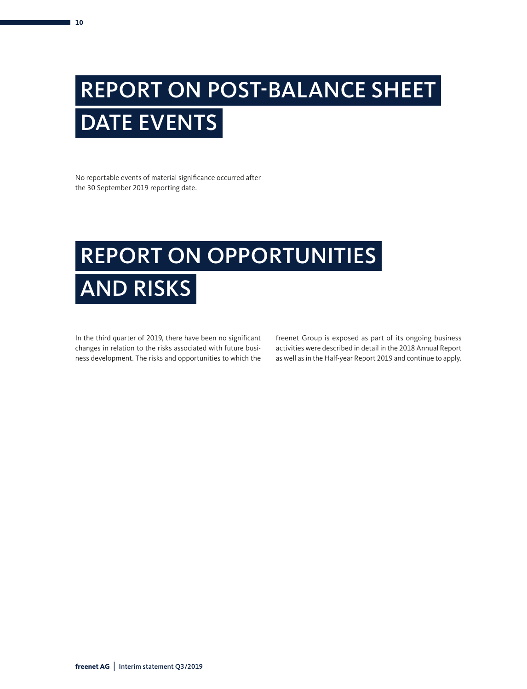# REPORT ON POST-BALANCE SHEET DATE EVENTS

No reportable events of material significance occurred after the 30 September 2019 reporting date.

# REPORT ON OPPORTUNITIES AND RISKS

In the third quarter of 2019, there have been no significant changes in relation to the risks associated with future business development. The risks and opportunities to which the freenet Group is exposed as part of its ongoing business activities were described in detail in the 2018 Annual Report as well as in the Half-year Report 2019 and continue to apply.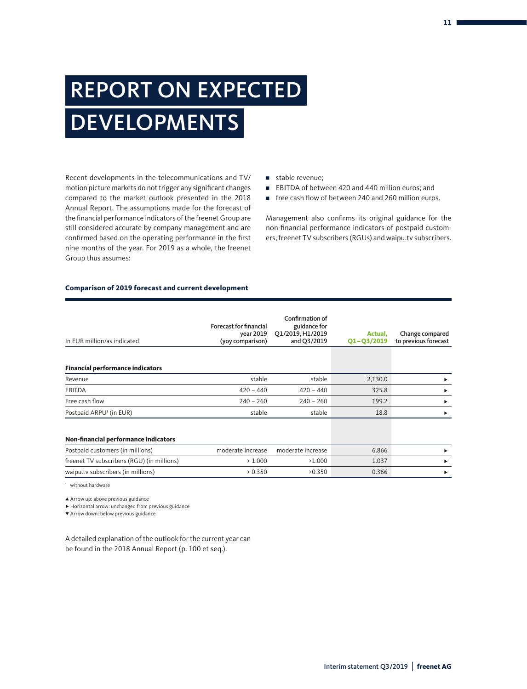# REPORT ON EXPECTED DEVELOPMENTS

Recent developments in the telecommunications and TV/ motion picture markets do not trigger any significant changes compared to the market outlook presented in the 2018 Annual Report. The assumptions made for the forecast of the financial performance indicators of the freenet Group are still considered accurate by company management and are confirmed based on the operating performance in the first nine months of the year. For 2019 as a whole, the freenet Group thus assumes:

- stable revenue:
- EBITDA of between 420 and 440 million euros: and
- free cash flow of between 240 and 260 million euros.

Management also confirms its original guidance for the non-financial performance indicators of postpaid customers, freenet TV subscribers (RGUs) and waipu.tv subscribers.

#### **Comparison of 2019 forecast and current development**

| In EUR million/as indicated                | <b>Forecast for financial</b><br>year 2019<br>(yoy comparison) | Confirmation of<br>guidance for<br>Q1/2019, H1/2019<br>and Q3/2019 | Actual.<br>$Q1 - Q3/2019$ | Change compared<br>to previous forecast |
|--------------------------------------------|----------------------------------------------------------------|--------------------------------------------------------------------|---------------------------|-----------------------------------------|
|                                            |                                                                |                                                                    |                           |                                         |
| <b>Financial performance indicators</b>    |                                                                |                                                                    |                           |                                         |
| Revenue                                    | stable                                                         | stable                                                             | 2,130.0                   | ٠                                       |
| EBITDA                                     | $420 - 440$                                                    | $420 - 440$                                                        | 325.8                     | ▶                                       |
| Free cash flow                             | $240 - 260$                                                    | $240 - 260$                                                        | 199.2                     | ▶                                       |
| Postpaid ARPU <sup>1</sup> (in EUR)        | stable                                                         | stable                                                             | 18.8                      | ▶                                       |
| Non-financial performance indicators       |                                                                |                                                                    |                           |                                         |
| Postpaid customers (in millions)           | moderate increase                                              | moderate increase                                                  | 6.866                     | ▶                                       |
| freenet TV subscribers (RGU) (in millions) | >1.000                                                         | >1.000                                                             | 1.037                     | ь                                       |
| waipu.tv subscribers (in millions)         | 0.350                                                          | >0.350                                                             | 0.366                     | ▶                                       |

1 without hardware

▲ Arrow up: above previous guidance

∑ Horizontal arrow: unchanged from previous guidance

π Arrow down: below previous guidance

A detailed explanation of the outlook for the current year can be found in the 2018 Annual Report (p. 100 et seq.).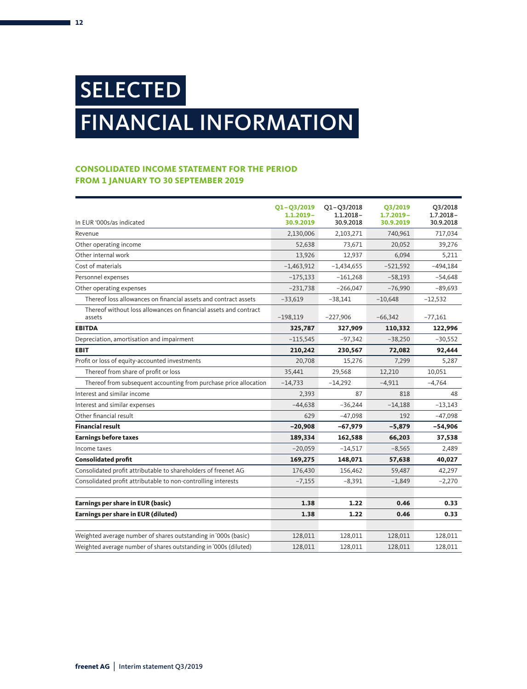# SELECTED FINANCIAL INFORMATION

# **CONSOLIDATED INCOME STATEMENT FOR THE PERIOD FROM 1 JANUARY TO 30 SEPTEMBER 2019**

|                                                                            | $Q1 - Q3/2019$            | $Q1 - Q3/2018$            | <b>Q3/2019</b>            | Q3/2018                   |
|----------------------------------------------------------------------------|---------------------------|---------------------------|---------------------------|---------------------------|
| In EUR '000s/as indicated                                                  | $1.1.2019 -$<br>30.9.2019 | $1.1.2018 -$<br>30.9.2018 | $1.7.2019 -$<br>30.9.2019 | $1.7.2018 -$<br>30.9.2018 |
| Revenue                                                                    | 2,130,006                 | 2,103,271                 | 740,961                   | 717,034                   |
| Other operating income                                                     | 52,638                    | 73,671                    | 20,052                    | 39,276                    |
| Other internal work                                                        | 13,926                    | 12,937                    | 6,094                     | 5,211                     |
| Cost of materials                                                          | $-1,463,912$              | $-1,434,655$              | $-521,592$                | $-494,184$                |
| Personnel expenses                                                         | $-175,133$                | $-161,268$                | $-58,193$                 | $-54,648$                 |
| Other operating expenses                                                   | $-231,738$                | $-266,047$                | $-76,990$                 | $-89,693$                 |
| Thereof loss allowances on financial assets and contract assets            | $-33,619$                 | $-38,141$                 | $-10,648$                 | $-12,532$                 |
| Thereof without loss allowances on financial assets and contract<br>assets | $-198,119$                | $-227,906$                | $-66,342$                 | $-77,161$                 |
| <b>EBITDA</b>                                                              | 325,787                   | 327,909                   | 110,332                   | 122,996                   |
| Depreciation, amortisation and impairment                                  | $-115,545$                | $-97,342$                 | $-38,250$                 | $-30,552$                 |
| <b>EBIT</b>                                                                | 210,242                   | 230,567                   | 72,082                    | 92,444                    |
| Profit or loss of equity-accounted investments                             | 20,708                    | 15,276                    | 7,299                     | 5,287                     |
| Thereof from share of profit or loss                                       | 35,441                    | 29,568                    | 12,210                    | 10,051                    |
| Thereof from subsequent accounting from purchase price allocation          | $-14,733$                 | $-14,292$                 | $-4,911$                  | $-4,764$                  |
| Interest and similar income                                                | 2,393                     | 87                        | 818                       | 48                        |
| Interest and similar expenses                                              | $-44,638$                 | $-36,244$                 | $-14,188$                 | $-13,143$                 |
| Other financial result                                                     | 629                       | $-47,098$                 | 192                       | $-47,098$                 |
| <b>Financial result</b>                                                    | $-20,908$                 | $-67,979$                 | $-5,879$                  | $-54,906$                 |
| <b>Earnings before taxes</b>                                               | 189,334                   | 162,588                   | 66,203                    | 37,538                    |
| Income taxes                                                               | $-20,059$                 | $-14,517$                 | $-8,565$                  | 2,489                     |
| <b>Consolidated profit</b>                                                 | 169,275                   | 148,071                   | 57,638                    | 40,027                    |
| Consolidated profit attributable to shareholders of freenet AG             | 176,430                   | 156,462                   | 59,487                    | 42,297                    |
| Consolidated profit attributable to non-controlling interests              | $-7,155$                  | $-8,391$                  | $-1,849$                  | $-2,270$                  |
| Earnings per share in EUR (basic)                                          | 1.38                      | 1.22                      | 0.46                      | 0.33                      |
| Earnings per share in EUR (diluted)                                        | 1.38                      | 1.22                      | 0.46                      | 0.33                      |
|                                                                            |                           |                           |                           |                           |
| Weighted average number of shares outstanding in '000s (basic)             | 128,011                   | 128,011                   | 128,011                   | 128,011                   |
| Weighted average number of shares outstanding in '000s (diluted)           | 128,011                   | 128,011                   | 128,011                   | 128,011                   |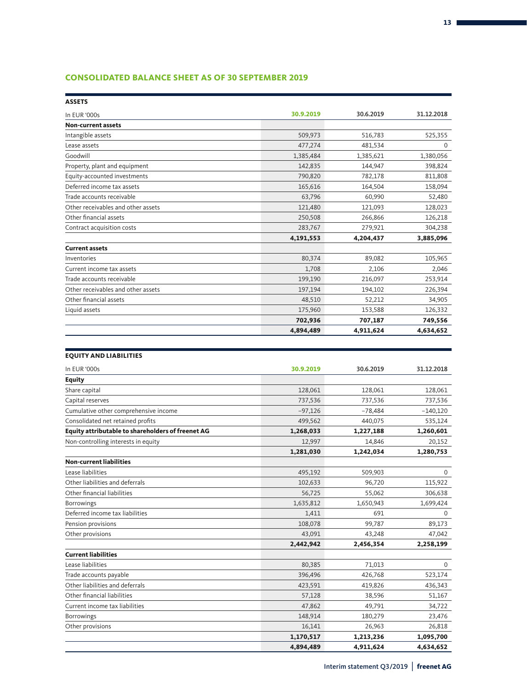# **CONSOLIDATED BALANCE SHEET AS OF 30 SEPTEMBER 2019**

| <b>ASSETS</b>                      |           |           |            |
|------------------------------------|-----------|-----------|------------|
| In EUR '000s                       | 30.9.2019 | 30.6.2019 | 31.12.2018 |
| <b>Non-current assets</b>          |           |           |            |
| Intangible assets                  | 509,973   | 516,783   | 525,355    |
| Lease assets                       | 477,274   | 481,534   | 0          |
| Goodwill                           | 1,385,484 | 1,385,621 | 1,380,056  |
| Property, plant and equipment      | 142,835   | 144,947   | 398,824    |
| Equity-accounted investments       | 790,820   | 782,178   | 811,808    |
| Deferred income tax assets         | 165,616   | 164,504   | 158,094    |
| Trade accounts receivable          | 63,796    | 60,990    | 52,480     |
| Other receivables and other assets | 121,480   | 121,093   | 128,023    |
| Other financial assets             | 250,508   | 266,866   | 126,218    |
| Contract acquisition costs         | 283,767   | 279,921   | 304,238    |
|                                    | 4,191,553 | 4,204,437 | 3,885,096  |
| <b>Current assets</b>              |           |           |            |
| Inventories                        | 80,374    | 89,082    | 105,965    |
| Current income tax assets          | 1,708     | 2,106     | 2,046      |
| Trade accounts receivable          | 199,190   | 216,097   | 253,914    |
| Other receivables and other assets | 197,194   | 194,102   | 226,394    |
| Other financial assets             | 48,510    | 52,212    | 34,905     |
| Liquid assets                      | 175,960   | 153,588   | 126,332    |
|                                    | 702,936   | 707,187   | 749,556    |
|                                    | 4,894,489 | 4,911,624 | 4,634,652  |

| <b>EQUITY AND LIABILITIES</b>                     |           |           |             |
|---------------------------------------------------|-----------|-----------|-------------|
| In EUR '000s                                      | 30.9.2019 | 30.6.2019 | 31.12.2018  |
| <b>Equity</b>                                     |           |           |             |
| Share capital                                     | 128,061   | 128,061   | 128,061     |
| Capital reserves                                  | 737,536   | 737,536   | 737,536     |
| Cumulative other comprehensive income             | $-97,126$ | $-78,484$ | $-140,120$  |
| Consolidated net retained profits                 | 499,562   | 440,075   | 535,124     |
| Equity attributable to shareholders of freenet AG | 1,268,033 | 1,227,188 | 1,260,601   |
| Non-controlling interests in equity               | 12,997    | 14,846    | 20,152      |
|                                                   | 1,281,030 | 1,242,034 | 1,280,753   |
| <b>Non-current liabilities</b>                    |           |           |             |
| Lease liabilities                                 | 495,192   | 509,903   | $\mathbf 0$ |
| Other liabilities and deferrals                   | 102,633   | 96,720    | 115,922     |
| Other financial liabilities                       | 56,725    | 55,062    | 306,638     |
| Borrowings                                        | 1,635,812 | 1,650,943 | 1,699,424   |
| Deferred income tax liabilities                   | 1,411     | 691       | $\mathbf 0$ |
| Pension provisions                                | 108,078   | 99,787    | 89,173      |
| Other provisions                                  | 43,091    | 43,248    | 47,042      |
|                                                   | 2,442,942 | 2,456,354 | 2,258,199   |
| <b>Current liabilities</b>                        |           |           |             |
| Lease liabilities                                 | 80,385    | 71,013    | $\mathbf 0$ |
| Trade accounts payable                            | 396,496   | 426,768   | 523,174     |
| Other liabilities and deferrals                   | 423,591   | 419,826   | 436,343     |
| Other financial liabilities                       | 57,128    | 38,596    | 51,167      |
| Current income tax liabilities                    | 47,862    | 49,791    | 34,722      |
| <b>Borrowings</b>                                 | 148,914   | 180,279   | 23,476      |
| Other provisions                                  | 16,141    | 26,963    | 26,818      |
|                                                   | 1,170,517 | 1,213,236 | 1,095,700   |

**4,894,489 4,911,624 4,634,652**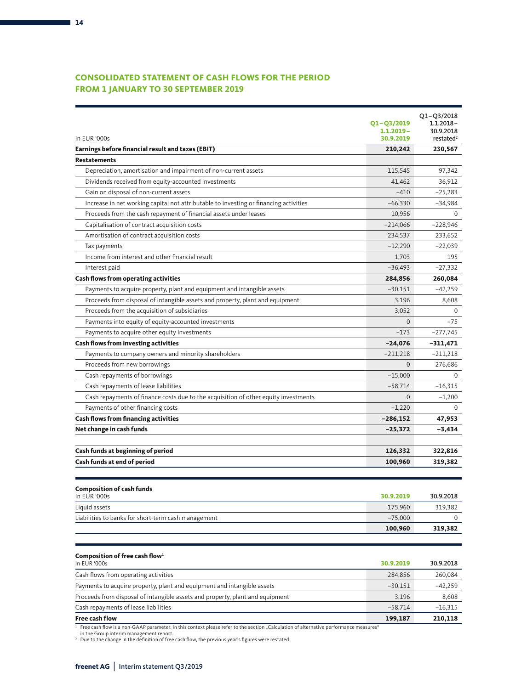# **CONSOLIDATED STATEMENT OF CASH FLOWS FOR THE PERIOD FROM 1 JANUARY TO 30 SEPTEMBER 2019**

| In EUR '000s                                                                          | Q1-Q3/2019<br>$1.1.2019 -$<br>30.9.2019 | $Q1 - Q3/2018$<br>1.1.2018-<br>30.9.2018<br>restated <sup>2</sup> |
|---------------------------------------------------------------------------------------|-----------------------------------------|-------------------------------------------------------------------|
| Earnings before financial result and taxes (EBIT)                                     | 210,242                                 | 230,567                                                           |
| <b>Restatements</b>                                                                   |                                         |                                                                   |
| Depreciation, amortisation and impairment of non-current assets                       | 115,545                                 | 97,342                                                            |
| Dividends received from equity-accounted investments                                  | 41,462                                  | 36,912                                                            |
| Gain on disposal of non-current assets                                                | $-410$                                  | $-25,283$                                                         |
| Increase in net working capital not attributable to investing or financing activities | $-66,330$                               | $-34,984$                                                         |
| Proceeds from the cash repayment of financial assets under leases                     | 10.956                                  | $\Omega$                                                          |
| Capitalisation of contract acquisition costs                                          | $-214,066$                              | $-228,946$                                                        |
| Amortisation of contract acquisition costs                                            | 234,537                                 | 233,652                                                           |
| Tax payments                                                                          | $-12,290$                               | $-22,039$                                                         |
| Income from interest and other financial result                                       | 1,703                                   | 195                                                               |
| Interest paid                                                                         | $-36,493$                               | $-27,332$                                                         |
| <b>Cash flows from operating activities</b>                                           | 284,856                                 | 260,084                                                           |
| Payments to acquire property, plant and equipment and intangible assets               | $-30,151$                               | $-42,259$                                                         |
| Proceeds from disposal of intangible assets and property, plant and equipment         | 3.196                                   | 8,608                                                             |
| Proceeds from the acquisition of subsidiaries                                         | 3,052                                   | 0                                                                 |
| Payments into equity of equity-accounted investments                                  | $\mathbf{0}$                            | $-75$                                                             |
| Payments to acquire other equity investments                                          | $-173$                                  | -277,745                                                          |
| <b>Cash flows from investing activities</b>                                           | $-24,076$                               | -311,471                                                          |
| Payments to company owners and minority shareholders                                  | $-211,218$                              | $-211,218$                                                        |
| Proceeds from new borrowings                                                          | $\Omega$                                | 276,686                                                           |
| Cash repayments of borrowings                                                         | $-15,000$                               | $\Omega$                                                          |
| Cash repayments of lease liabilities                                                  | $-58,714$                               | $-16,315$                                                         |
| Cash repayments of finance costs due to the acquisition of other equity investments   | $\mathbf{0}$                            | $-1,200$                                                          |
| Payments of other financing costs                                                     | $-1,220$                                | $\Omega$                                                          |
| <b>Cash flows from financing activities</b>                                           | $-286,152$                              | 47,953                                                            |
| Net change in cash funds                                                              | $-25,372$                               | $-3,434$                                                          |
| Cash funds at beginning of period                                                     | 126,332                                 | 322,816                                                           |
| Cash funds at end of period                                                           | 100,960                                 | 319,382                                                           |
|                                                                                       |                                         |                                                                   |
| <b>Composition of cash funds</b>                                                      |                                         |                                                                   |
| In EUR '000s                                                                          | 30.9.2019                               | 30.9.2018                                                         |
| Liquid assets                                                                         | 175,960                                 | 319,382                                                           |
| Liabilities to banks for short-term cash management                                   | $-75,000$                               | 0                                                                 |
|                                                                                       | 100,960                                 | 319,382                                                           |
|                                                                                       |                                         |                                                                   |
| Composition of free cash flow $1$<br>In EUR '000s                                     | 30.9.2019                               | 30.9.2018                                                         |
| Cash flows from operating activities                                                  | 284,856                                 | 260,084                                                           |
| Payments to acquire property, plant and equipment and intangible assets               | $-30,151$                               | -42,259                                                           |
| Proceeds from disposal of intangible assets and property, plant and equipment         | 3,196                                   | 8,608                                                             |

**Free cash flow 199,187 210,118**

Cash repayments of lease liabilities –58,714 –16,315

<sup>1</sup> Free cash flow is a non-GAAP parameter. In this context please refer to the section "Calculation of alternative performance measures"<br>∣in the Group interim management report.<br><sup>2</sup> Due to the change in the definition o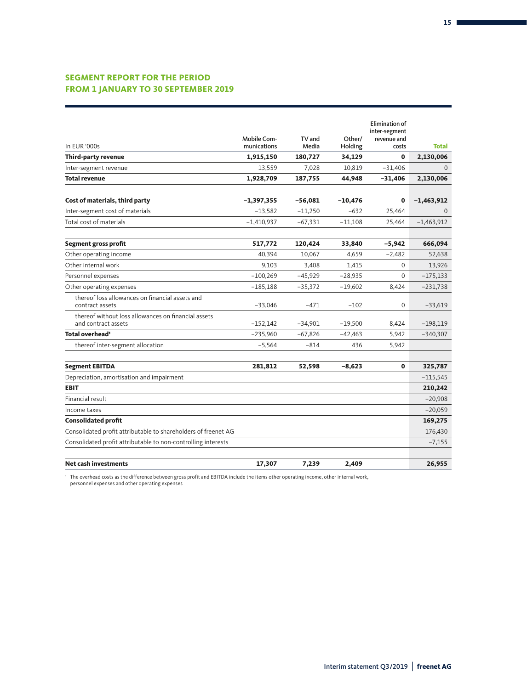# **SEGMENT REPORT FOR THE PERIOD FROM 1 JANUARY TO 30 SEPTEMBER 2019**

|                                                                            |                                   |                 |                   | <b>Elimination of</b> |              |
|----------------------------------------------------------------------------|-----------------------------------|-----------------|-------------------|-----------------------|--------------|
|                                                                            |                                   |                 |                   | inter-segment         |              |
| In EUR '000s                                                               | <b>Mobile Com-</b><br>munications | TV and<br>Media | Other/<br>Holding | revenue and<br>costs  | Total        |
| Third-party revenue                                                        | 1,915,150                         | 180,727         | 34,129            | 0                     | 2,130,006    |
| Inter-segment revenue                                                      | 13,559                            | 7,028           | 10,819            | $-31,406$             | $\Omega$     |
| <b>Total revenue</b>                                                       | 1,928,709                         | 187,755         | 44,948            | $-31,406$             | 2,130,006    |
| Cost of materials, third party                                             | $-1,397,355$                      | $-56,081$       | $-10,476$         | $\mathbf{0}$          | $-1,463,912$ |
| Inter-segment cost of materials                                            | $-13,582$                         | $-11,250$       | $-632$            | 25,464                | $\Omega$     |
| Total cost of materials                                                    | $-1,410,937$                      | $-67,331$       | $-11,108$         | 25,464                | $-1,463,912$ |
| Segment gross profit                                                       | 517,772                           | 120,424         | 33,840            | $-5,942$              | 666,094      |
| Other operating income                                                     | 40,394                            | 10,067          | 4,659             | $-2,482$              | 52,638       |
| Other internal work                                                        | 9,103                             | 3,408           | 1,415             | 0                     | 13,926       |
| Personnel expenses                                                         | $-100,269$                        | $-45,929$       | $-28,935$         | $\mathbf{0}$          | $-175,133$   |
| Other operating expenses                                                   | $-185,188$                        | $-35,372$       | $-19,602$         | 8,424                 | –231,738     |
| thereof loss allowances on financial assets and<br>contract assets         | $-33,046$                         | $-471$          | $-102$            | $\mathbf{0}$          | $-33,619$    |
| thereof without loss allowances on financial assets<br>and contract assets | $-152,142$                        | $-34,901$       | $-19,500$         | 8,424                 | $-198,119$   |
| Total overhead <sup>1</sup>                                                | $-235,960$                        | $-67,826$       | $-42,463$         | 5,942                 | $-340,307$   |
| thereof inter-segment allocation                                           | $-5,564$                          | $-814$          | 436               | 5,942                 |              |
| <b>Segment EBITDA</b>                                                      | 281,812                           | 52,598          | $-8,623$          | 0                     | 325,787      |
| Depreciation, amortisation and impairment                                  |                                   |                 |                   |                       | $-115,545$   |
| <b>EBIT</b>                                                                |                                   |                 |                   |                       | 210,242      |
| Financial result                                                           |                                   |                 |                   |                       | $-20,908$    |
| Income taxes                                                               |                                   |                 |                   |                       | $-20,059$    |
| <b>Consolidated profit</b>                                                 |                                   |                 |                   |                       | 169,275      |
| Consolidated profit attributable to shareholders of freenet AG             |                                   |                 |                   |                       | 176,430      |
| Consolidated profit attributable to non-controlling interests              |                                   |                 |                   |                       | $-7,155$     |
| <b>Net cash investments</b>                                                | 17,307                            | 7,239           | 2.409             |                       | 26,955       |

' The overhead costs as the difference between gross profit and EBITDA include the items other operating income, other internal work,<br>personnel expenses and other operating expenses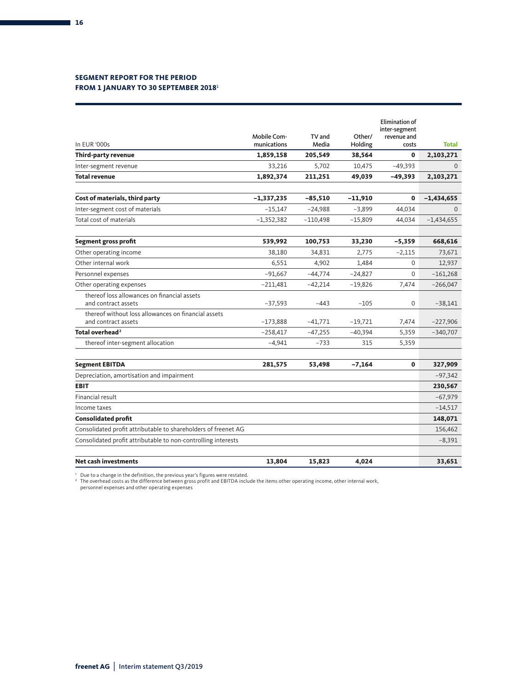## **SEGMENT REPORT FOR THE PERIOD FROM 1 JANUARY TO 30 SEPTEMBER 2018**<sup>1</sup>

|                                                                            | Mobile Com-  | TV and     | Other/    | <b>Elimination of</b><br>inter-segment<br>revenue and |              |
|----------------------------------------------------------------------------|--------------|------------|-----------|-------------------------------------------------------|--------------|
| In EUR '000s                                                               | munications  | Media      | Holding   | costs                                                 | <b>Total</b> |
| Third-party revenue                                                        | 1,859,158    | 205,549    | 38,564    | $\mathbf{0}$                                          | 2,103,271    |
| Inter-segment revenue                                                      | 33,216       | 5,702      | 10,475    | $-49,393$                                             | $\Omega$     |
| <b>Total revenue</b>                                                       | 1,892,374    | 211,251    | 49,039    | $-49,393$                                             | 2,103,271    |
| Cost of materials, third party                                             | $-1,337,235$ | $-85,510$  | $-11,910$ | $\mathbf{0}$                                          | $-1,434,655$ |
| Inter-segment cost of materials                                            | $-15,147$    | $-24,988$  | $-3,899$  | 44,034                                                | $\Omega$     |
| Total cost of materials                                                    | $-1,352,382$ | $-110,498$ | $-15,809$ | 44,034                                                | $-1,434,655$ |
| Segment gross profit                                                       | 539,992      | 100,753    | 33,230    | $-5,359$                                              | 668,616      |
| Other operating income                                                     | 38,180       | 34,831     | 2,775     | $-2,115$                                              | 73,671       |
| Other internal work                                                        | 6,551        | 4,902      | 1,484     | $\Omega$                                              | 12,937       |
| Personnel expenses                                                         | $-91.667$    | $-44.774$  | $-24,827$ | $\Omega$                                              | $-161,268$   |
| Other operating expenses                                                   | $-211,481$   | $-42,214$  | $-19,826$ | 7,474                                                 | $-266,047$   |
| thereof loss allowances on financial assets<br>and contract assets         | $-37,593$    | $-443$     | $-105$    | $\mathbf 0$                                           | $-38,141$    |
| thereof without loss allowances on financial assets<br>and contract assets | $-173,888$   | $-41,771$  | $-19,721$ | 7,474                                                 | $-227,906$   |
| Total overhead <sup>2</sup>                                                | $-258,417$   | $-47,255$  | $-40,394$ | 5,359                                                 | $-340,707$   |
| thereof inter-segment allocation                                           | $-4,941$     | $-733$     | 315       | 5,359                                                 |              |
| <b>Segment EBITDA</b>                                                      | 281,575      | 53,498     | $-7,164$  | 0                                                     | 327,909      |
| Depreciation, amortisation and impairment                                  |              |            |           |                                                       | $-97,342$    |
| <b>EBIT</b>                                                                |              |            |           |                                                       | 230,567      |
| Financial result                                                           |              |            |           |                                                       | $-67,979$    |
| Income taxes                                                               |              |            |           |                                                       | $-14,517$    |
| <b>Consolidated profit</b>                                                 |              |            |           |                                                       | 148,071      |
| Consolidated profit attributable to shareholders of freenet AG             |              |            |           |                                                       | 156,462      |
| Consolidated profit attributable to non-controlling interests              |              |            |           |                                                       | $-8,391$     |
| <b>Net cash investments</b>                                                | 13,804       | 15,823     | 4,024     |                                                       | 33,651       |

' Due to a change in the definition, the previous year's figures were restated.<br>≀ The overhead costs as the difference between gross profit and EBITDA include the items other operating income, other internal work,<br>γperso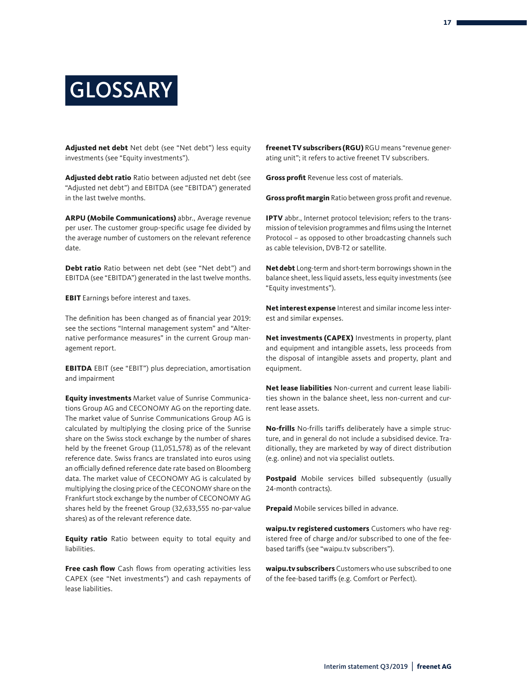# **GLOSSARY**

**Adjusted net debt** Net debt (see "Net debt") less equity investments (see "Equity investments").

**Adjusted debt ratio** Ratio between adjusted net debt (see "Adjusted net debt") and EBITDA (see "EBITDA") generated in the last twelve months.

**ARPU (Mobile Communications)** abbr., Average revenue per user. The customer group-specific usage fee divided by the average number of customers on the relevant reference date.

**Debt ratio** Ratio between net debt (see "Net debt") and EBITDA (see "EBITDA") generated in the last twelve months.

**EBIT** Earnings before interest and taxes.

The definition has been changed as of financial year 2019: see the sections "Internal management system" and "Alternative performance measures" in the current Group management report.

**EBITDA** EBIT (see "EBIT") plus depreciation, amortisation and impairment

**Equity investments** Market value of Sunrise Communications Group AG and CECONOMY AG on the reporting date. The market value of Sunrise Communications Group AG is calculated by multiplying the closing price of the Sunrise share on the Swiss stock exchange by the number of shares held by the freenet Group (11,051,578) as of the relevant reference date. Swiss francs are translated into euros using an officially defined reference date rate based on Bloomberg data. The market value of CECONOMY AG is calculated by multiplying the closing price of the CECONOMY share on the Frankfurt stock exchange by the number of CECONOMY AG shares held by the freenet Group (32,633,555 no-par-value shares) as of the relevant reference date.

**Equity ratio** Ratio between equity to total equity and liabilities.

**Free cash flow** Cash flows from operating activities less CAPEX (see "Net investments") and cash repayments of lease liabilities.

**freenet TV subscribers (RGU)** RGU means "revenue generating unit"; it refers to active freenet TV subscribers.

**Gross profit** Revenue less cost of materials.

**Gross profit margin** Ratio between gross profit and revenue.

**IPTV** abbr., Internet protocol television; refers to the transmission of television programmes and films using the Internet Protocol – as opposed to other broadcasting channels such as cable television, DVB-T2 or satellite.

**Net debt** Long-term and short-term borrowings shown in the balance sheet, less liquid assets, less equity investments (see "Equity investments").

**Net interest expense** Interest and similar income less interest and similar expenses.

**Net investments (CAPEX)** Investments in property, plant and equipment and intangible assets, less proceeds from the disposal of intangible assets and property, plant and equipment.

**Net lease liabilities** Non-current and current lease liabilities shown in the balance sheet, less non-current and current lease assets.

**No-frills** No-frills tariffs deliberately have a simple structure, and in general do not include a subsidised device. Traditionally, they are marketed by way of direct distribution (e.g. online) and not via specialist outlets.

**Postpaid** Mobile services billed subsequently (usually 24-month contracts).

**Prepaid** Mobile services billed in advance.

**waipu.tv registered customers** Customers who have registered free of charge and/or subscribed to one of the feebased tariffs (see "waipu.tv subscribers").

**waipu.tv subscribers** Customers who use subscribed to one of the fee-based tariffs (e.g. Comfort or Perfect).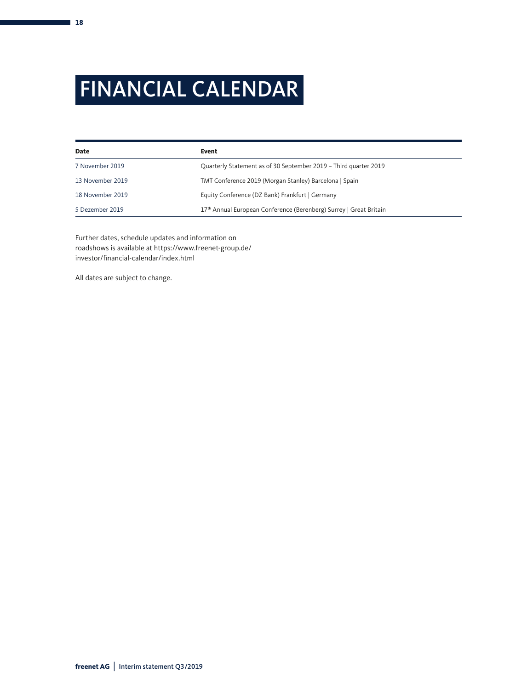# FINANCIAL CALENDAR

| Date             | Event                                                              |  |
|------------------|--------------------------------------------------------------------|--|
| 7 November 2019  | Quarterly Statement as of 30 September 2019 - Third quarter 2019   |  |
| 13 November 2019 | TMT Conference 2019 (Morgan Stanley) Barcelona   Spain             |  |
| 18 November 2019 | Equity Conference (DZ Bank) Frankfurt   Germany                    |  |
| 5 Dezember 2019  | 17th Annual European Conference (Berenberg) Surrey   Great Britain |  |

Further dates, schedule updates and information on roadshows is available at https://www.freenet-group.de/ investor/financial-calendar/index.html

All dates are subject to change.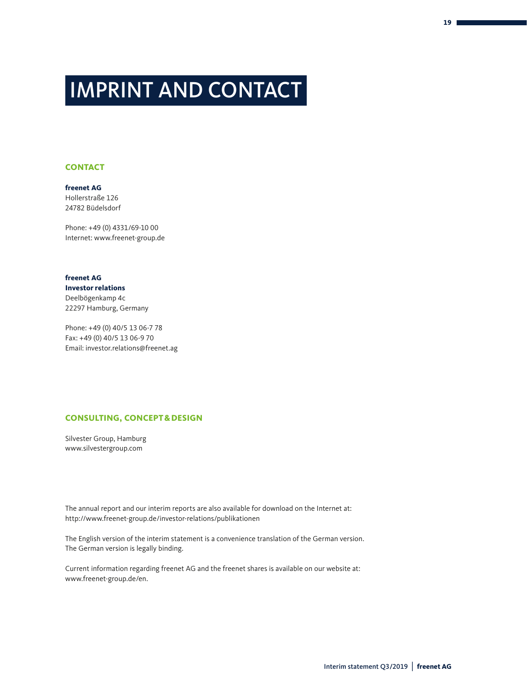# IMPRINT AND CONTACT

### **CONTACT**

**freenet AG** Hollerstraße 126 24782 Büdelsdorf

Phone: +49 (0) 4331/69-10 00 Internet: www.freenet-group.de

**freenet AG Investor relations** Deelbögenkamp 4c 22297 Hamburg, Germany

Phone: +49 (0) 40/5 13 06-7 78 Fax: +49 (0) 40/5 13 06-9 70 Email: investor.relations@freenet.ag

# **CONSULTING, CONCEPT&DESIGN**

Silvester Group, Hamburg www.silvestergroup.com

The annual report and our interim reports are also available for download on the Internet at: http://www.freenet-group.de/investor-relations/publikationen

The English version of the interim statement is a convenience translation of the German version. The German version is legally binding.

Current information regarding freenet AG and the freenet shares is available on our website at: www.freenet-group.de/en.